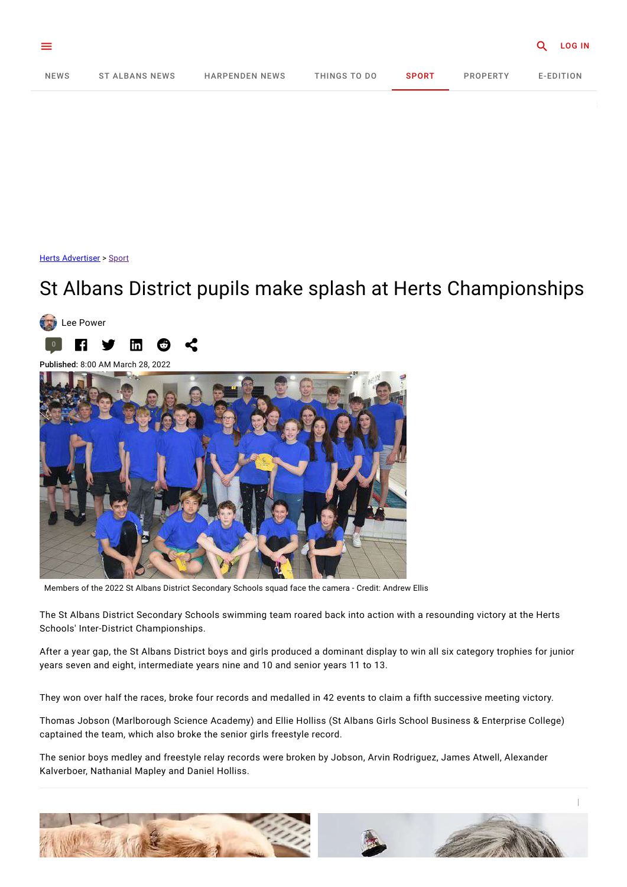<span id="page-0-0"></span>

Herts [Advertiser](https://www.hertsad.co.uk/) > [Sport](https://www.hertsad.co.uk/sport)

## St Albans District pupils make splash at Herts Championships



Published: 8:00 AM March 28, 2022



Members of the 2022 St Albans District Secondary Schools squad face the camera - Credit: Andrew Ellis

The St Albans District Secondary Schools swimming team roared back into action with a resounding victory at the Herts Schools' Inter-District Championships.

After a year gap, the St Albans District boys and girls produced a dominant display to win all six category trophies for junior years seven and eight, intermediate years nine and 10 and senior years 11 to 13.

They won over half the races, broke four records and medalled in 42 events to claim a fifth successive meeting victory.

Thomas Jobson (Marlborough Science Academy) and Ellie Holliss (St Albans Girls School Business & Enterprise College) captained the team, which also broke the senior girls freestyle record.

The senior boys medley and freestyle relay records were broken by Jobson, Arvin Rodriguez, James Atwell, Alexander Kalverboer, Nathanial Mapley and Daniel Holliss.